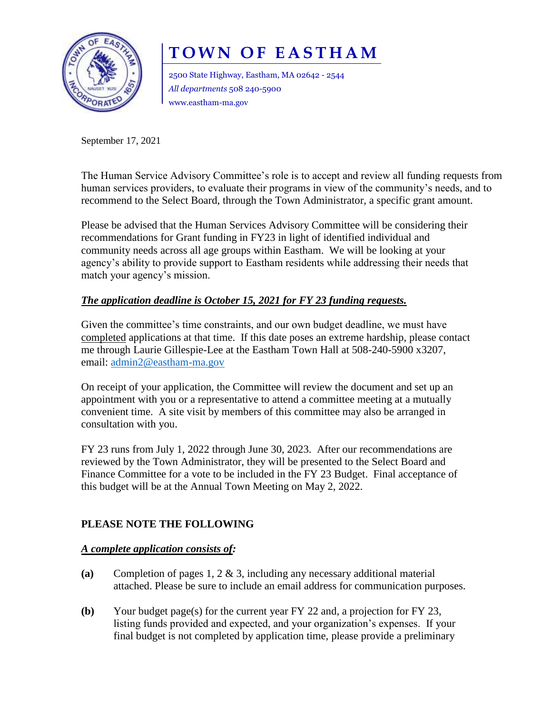

# **TOWN OF EASTHAM**

2500 State Highway, Eastham, MA 02642 - 2544 *All departments* 508 240-5900 www.eastham-ma.gov

September 17, 2021

The Human Service Advisory Committee's role is to accept and review all funding requests from human services providers, to evaluate their programs in view of the community's needs, and to recommend to the Select Board, through the Town Administrator, a specific grant amount.

Please be advised that the Human Services Advisory Committee will be considering their recommendations for Grant funding in FY23 in light of identified individual and community needs across all age groups within Eastham. We will be looking at your agency's ability to provide support to Eastham residents while addressing their needs that match your agency's mission.

## *The application deadline is October 15, 2021 for FY 23 funding requests.*

Given the committee's time constraints, and our own budget deadline, we must have completed applications at that time. If this date poses an extreme hardship, please contact me through Laurie Gillespie-Lee at the Eastham Town Hall at 508-240-5900 x3207, email: [admin2@eastham-ma.gov](mailto:admin2@eastham-ma.gov)

On receipt of your application, the Committee will review the document and set up an appointment with you or a representative to attend a committee meeting at a mutually convenient time. A site visit by members of this committee may also be arranged in consultation with you.

FY 23 runs from July 1, 2022 through June 30, 2023. After our recommendations are reviewed by the Town Administrator, they will be presented to the Select Board and Finance Committee for a vote to be included in the FY 23 Budget. Final acceptance of this budget will be at the Annual Town Meeting on May 2, 2022.

### **PLEASE NOTE THE FOLLOWING**

#### *A complete application consists of:*

- **(a)** Completion of pages 1, 2 & 3, including any necessary additional material attached. Please be sure to include an email address for communication purposes.
- **(b)** Your budget page(s) for the current year FY 22 and, a projection for FY 23, listing funds provided and expected, and your organization's expenses. If your final budget is not completed by application time, please provide a preliminary